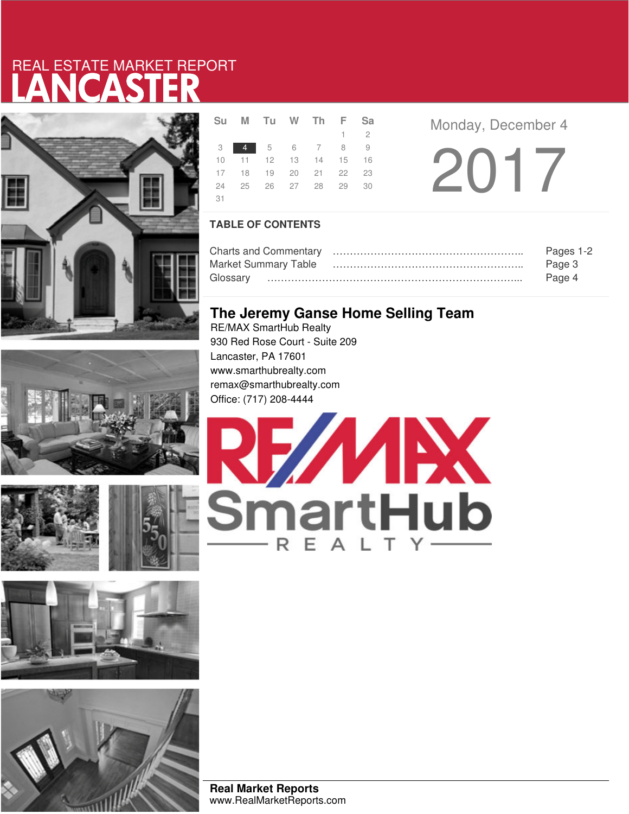# LANCASTER REAL ESTATE MARKET REPORT











|     | <b>SUMIU WINFSA</b>        |  |  |             |  |
|-----|----------------------------|--|--|-------------|--|
|     |                            |  |  | $1 \quad 2$ |  |
|     | 3 4 5 6 7 8 9              |  |  |             |  |
|     | 10 11 12 13 14 15 16       |  |  |             |  |
|     | 17 18 19 20 21 22 23       |  |  |             |  |
|     | 24  25  26  27  28  29  30 |  |  |             |  |
| -31 |                            |  |  |             |  |

**Monday, December 4** 

2017

### **TABLE OF CONTENTS**

|                             | Pages 1-2 |
|-----------------------------|-----------|
| <b>Market Summary Table</b> | Page 3    |
|                             | Page 4    |

## **The Jeremy Ganse Home Selling Team**

RE/MAX SmartHub Realty 930 Red Rose Court - Suite 209 Lancaster, PA 17601 www.smarthubrealty.com remax@smarthubrealty.com Office: (717) 208-4444



**Real Market Reports** www.RealMarketReports.com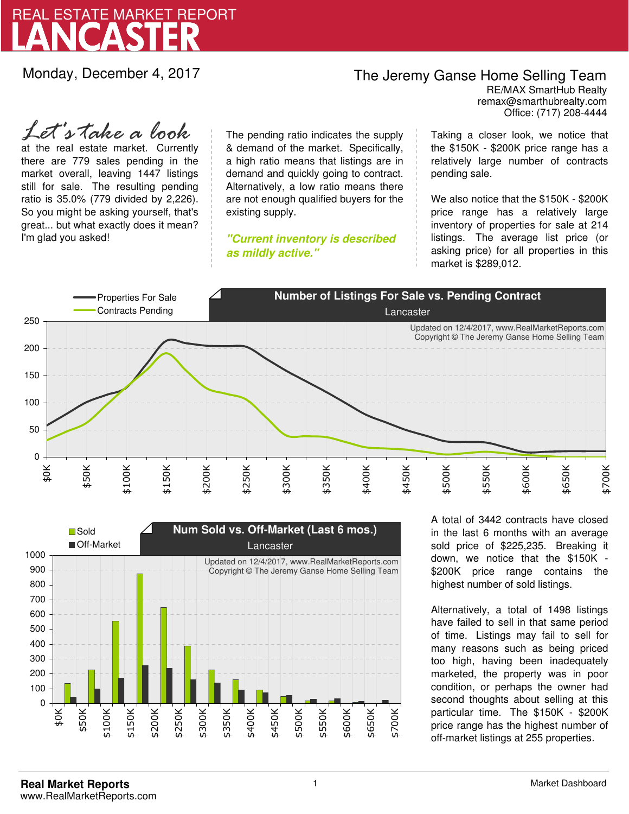

Monday, December 4, 2017

### The Jeremy Ganse Home Selling Team

remax@smarthubrealty.com RE/MAX SmartHub Realty Office: (717) 208-4444

at the real estate market. Currently there are 779 sales pending in the market overall, leaving 1447 listings still for sale. The resulting pending ratio is 35.0% (779 divided by 2,226). So you might be asking yourself, that's great... but what exactly does it mean? I'm glad you asked! *Let's take a look*

The pending ratio indicates the supply & demand of the market. Specifically, a high ratio means that listings are in demand and quickly going to contract. Alternatively, a low ratio means there are not enough qualified buyers for the existing supply.

**"Current inventory is described as mildly active."**

Taking a closer look, we notice that the \$150K - \$200K price range has a relatively large number of contracts pending sale.

We also notice that the \$150K - \$200K price range has a relatively large inventory of properties for sale at 214 listings. The average list price (or asking price) for all properties in this market is \$289,012.





A total of 3442 contracts have closed in the last 6 months with an average sold price of \$225,235. Breaking it down, we notice that the \$150K - \$200K price range contains the highest number of sold listings.

Alternatively, a total of 1498 listings have failed to sell in that same period of time. Listings may fail to sell for many reasons such as being priced too high, having been inadequately marketed, the property was in poor condition, or perhaps the owner had second thoughts about selling at this particular time. The \$150K - \$200K price range has the highest number of off-market listings at 255 properties.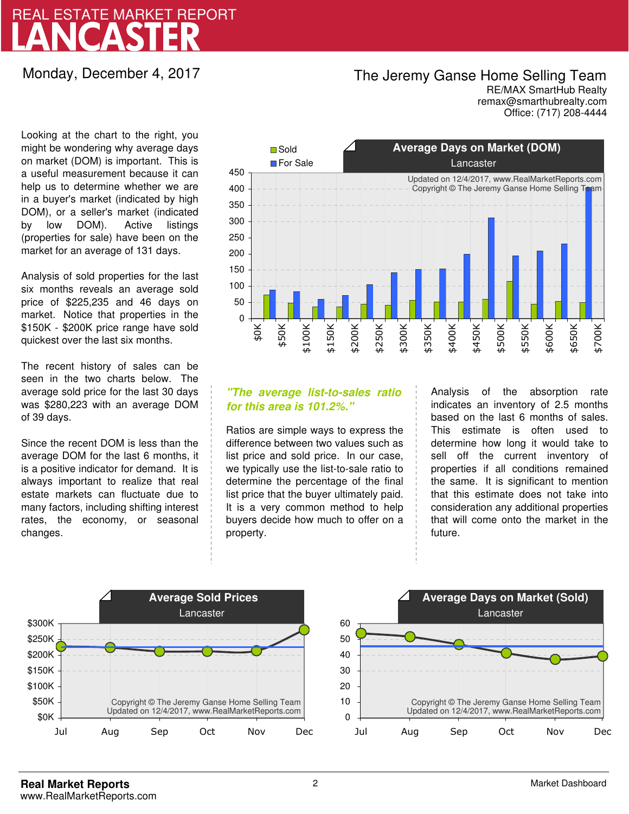# LANCASTER REAL ESTATE MARKET REPORT

Monday, December 4, 2017

## The Jeremy Ganse Home Selling Team

remax@smarthubrealty.com RE/MAX SmartHub Realty Office: (717) 208-4444

Looking at the chart to the right, you might be wondering why average days on market (DOM) is important. This is a useful measurement because it can help us to determine whether we are in a buyer's market (indicated by high DOM), or a seller's market (indicated by low DOM). Active listings (properties for sale) have been on the market for an average of 131 days.

Analysis of sold properties for the last six months reveals an average sold price of \$225,235 and 46 days on market. Notice that properties in the \$150K - \$200K price range have sold quickest over the last six months.

The recent history of sales can be seen in the two charts below. The average sold price for the last 30 days was \$280,223 with an average DOM of 39 days.

Since the recent DOM is less than the average DOM for the last 6 months, it is a positive indicator for demand. It is always important to realize that real estate markets can fluctuate due to many factors, including shifting interest rates, the economy, or seasonal changes.



### **"The average list-to-sales ratio for this area is 101.2%."**

Ratios are simple ways to express the difference between two values such as list price and sold price. In our case, we typically use the list-to-sale ratio to determine the percentage of the final list price that the buyer ultimately paid. It is a very common method to help buyers decide how much to offer on a property.

Analysis of the absorption rate indicates an inventory of 2.5 months based on the last 6 months of sales. This estimate is often used to determine how long it would take to sell off the current inventory of properties if all conditions remained the same. It is significant to mention that this estimate does not take into consideration any additional properties that will come onto the market in the future.



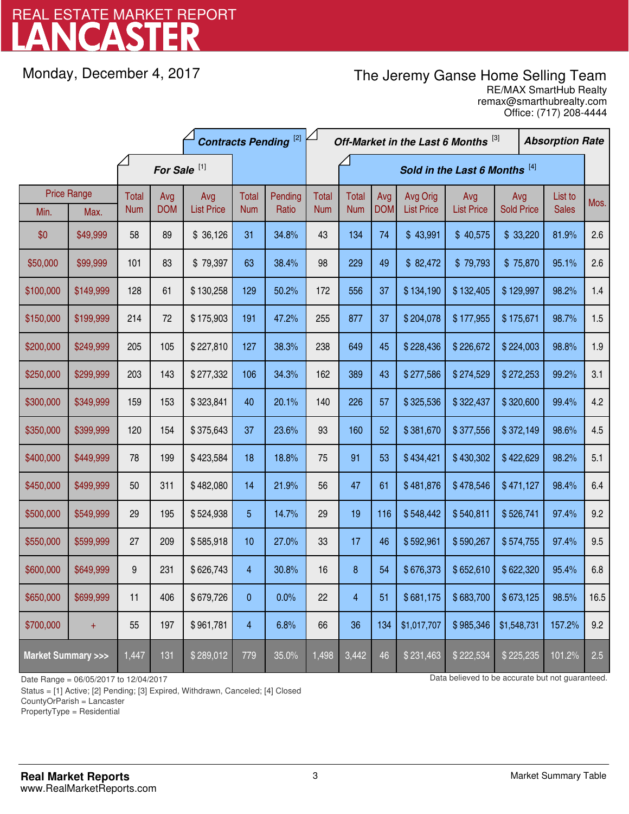# LANCASTER REAL ESTATE MARKET REPORT

Monday, December 4, 2017

## The Jeremy Ganse Home Selling Team

remax@smarthubrealty.com RE/MAX SmartHub Realty Office: (717) 208-4444

|                                    |           | <b>Contracts Pending [2]</b> |            |                   |                         | Off-Market in the Last 6 Months [3] |            |              |                               |                   | <b>Absorption Rate</b> |                   |  |              |      |
|------------------------------------|-----------|------------------------------|------------|-------------------|-------------------------|-------------------------------------|------------|--------------|-------------------------------|-------------------|------------------------|-------------------|--|--------------|------|
|                                    |           | For Sale <sup>[1]</sup>      |            |                   |                         |                                     |            |              | Sold in the Last 6 Months [4] |                   |                        |                   |  |              |      |
| <b>Price Range</b>                 |           | Total                        | Avg        | Avg               | Total                   | Pending                             | Total      | <b>Total</b> | Avg                           | Avg Orig          | Avg                    | Avg               |  | List to      | Mos. |
| Min.                               | Max.      | <b>Num</b>                   | <b>DOM</b> | <b>List Price</b> | <b>Num</b>              | Ratio                               | <b>Num</b> | <b>Num</b>   | <b>DOM</b>                    | <b>List Price</b> | <b>List Price</b>      | <b>Sold Price</b> |  | <b>Sales</b> |      |
| \$0                                | \$49,999  | 58                           | 89         | \$36,126          | 31                      | 34.8%                               | 43         | 134          | 74                            | \$43,991          | \$40,575               | \$33,220          |  | 81.9%        | 2.6  |
| \$50,000                           | \$99,999  | 101                          | 83         | \$79,397          | 63                      | 38.4%                               | 98         | 229          | 49                            | \$82,472          | \$79,793               | \$75,870          |  | 95.1%        | 2.6  |
| \$100,000                          | \$149,999 | 128                          | 61         | \$130,258         | 129                     | 50.2%                               | 172        | 556          | 37                            | \$134,190         | \$132,405              | \$129,997         |  | 98.2%        | 1.4  |
| \$150,000                          | \$199,999 | 214                          | 72         | \$175,903         | 191                     | 47.2%                               | 255        | 877          | 37                            | \$204,078         | \$177,955              | \$175,671         |  | 98.7%        | 1.5  |
| \$200,000                          | \$249,999 | 205                          | 105        | \$227,810         | 127                     | 38.3%                               | 238        | 649          | 45                            | \$228,436         | \$226,672              | \$224,003         |  | 98.8%        | 1.9  |
| \$250,000                          | \$299,999 | 203                          | 143        | \$277,332         | 106                     | 34.3%                               | 162        | 389          | 43                            | \$277,586         | \$274,529              | \$272,253         |  | 99.2%        | 3.1  |
| \$300,000                          | \$349,999 | 159                          | 153        | \$323,841         | 40                      | 20.1%                               | 140        | 226          | 57                            | \$325,536         | \$322,437              | \$320,600         |  | 99.4%        | 4.2  |
| \$350,000                          | \$399,999 | 120                          | 154        | \$375,643         | 37                      | 23.6%                               | 93         | 160          | 52                            | \$381,670         | \$377,556              | \$372,149         |  | 98.6%        | 4.5  |
| \$400,000                          | \$449,999 | 78                           | 199        | \$423,584         | 18                      | 18.8%                               | 75         | 91           | 53                            | \$434,421         | \$430,302              | \$422,629         |  | 98.2%        | 5.1  |
| \$450,000                          | \$499,999 | 50                           | 311        | \$482,080         | 14                      | 21.9%                               | 56         | 47           | 61                            | \$481,876         | \$478,546              | \$471,127         |  | 98.4%        | 6.4  |
| \$500,000                          | \$549,999 | 29                           | 195        | \$524,938         | 5                       | 14.7%                               | 29         | 19           | 116                           | \$548,442         | \$540,811              | \$526,741         |  | 97.4%        | 9.2  |
| \$550,000                          | \$599,999 | 27                           | 209        | \$585,918         | 10                      | 27.0%                               | 33         | 17           | 46                            | \$592,961         | \$590,267              | \$574,755         |  | 97.4%        | 9.5  |
| \$600,000                          | \$649,999 | 9                            | 231        | \$626,743         | $\overline{\mathbf{4}}$ | 30.8%                               | 16         | 8            | 54                            | \$676,373         | \$652,610              | \$622,320         |  | 95.4%        | 6.8  |
| \$650,000                          | \$699,999 | 11                           | 406        | \$679,726         | 0                       | 0.0%                                | 22         | 4            | 51                            | \$681,175         | \$683,700              | \$673,125         |  | 98.5%        | 16.5 |
| \$700,000                          | $+$       | 55                           | 197        | \$961,781         | 4                       | 6.8%                                | 66         | 36           | 134                           | \$1,017,707       | \$985,346              | \$1,548,731       |  | 157.2%       | 9.2  |
| <b>Market Summary &gt;&gt;&gt;</b> |           | 1,447                        | 131        | \$289,012         | 779                     | 35.0%                               | 1,498      | 3,442        | 46                            | \$231,463         | \$222,534              | \$225,235         |  | 101.2%       | 2.5  |

Status = [1] Active; [2] Pending; [3] Expired, Withdrawn, Canceled; [4] Closed

CountyOrParish = Lancaster

PropertyType = Residential

-

Date Range = 06/05/2017 to 12/04/2017 **Data believed to be accurate but not guaranteed.**